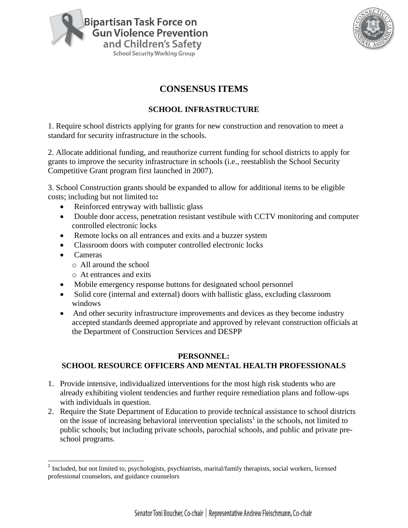



# **CONSENSUS ITEMS**

### **SCHOOL INFRASTRUCTURE**

1. Require school districts applying for grants for new construction and renovation to meet a standard for security infrastructure in the schools.

2. Allocate additional funding, and reauthorize current funding for school districts to apply for grants to improve the security infrastructure in schools (i.e., reestablish the School Security Competitive Grant program first launched in 2007).

3. School Construction grants should be expanded to allow for additional items to be eligible costs; including but not limited to**:** 

- Reinforced entryway with ballistic glass
- Double door access, penetration resistant vestibule with CCTV monitoring and computer controlled electronic locks
- Remote locks on all entrances and exits and a buzzer system
- Classroom doors with computer controlled electronic locks
- Cameras

 $\overline{a}$ 

- o All around the school
- o At entrances and exits
- Mobile emergency response buttons for designated school personnel
- Solid core (internal and external) doors with ballistic glass, excluding classroom windows
- And other security infrastructure improvements and devices as they become industry accepted standards deemed appropriate and approved by relevant construction officials at the Department of Construction Services and DESPP

## **PERSONNEL: SCHOOL RESOURCE OFFICERS AND MENTAL HEALTH PROFESSIONALS**

- 1. Provide intensive, individualized interventions for the most high risk students who are already exhibiting violent tendencies and further require remediation plans and follow-ups with individuals in question.
- 2. Require the State Department of Education to provide technical assistance to school districts on the issue of increasing behavioral intervention specialists<sup>1</sup> in the schools, not limited to public schools; but including private schools, parochial schools, and public and private preschool programs.

<sup>&</sup>lt;sup>1</sup> Included, but not limited to, psychologists, psychiatrists, marital/family therapists, social workers, licensed professional counselors, and guidance counselors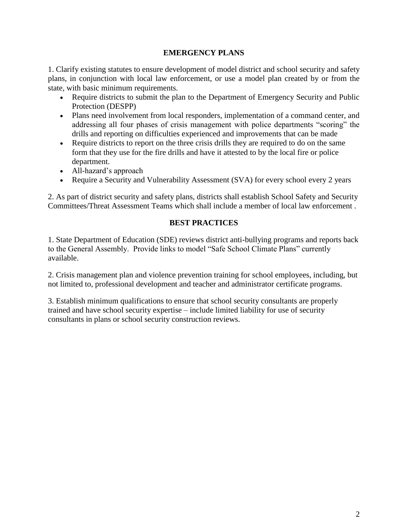#### **EMERGENCY PLANS**

1. Clarify existing statutes to ensure development of model district and school security and safety plans, in conjunction with local law enforcement, or use a model plan created by or from the state, with basic minimum requirements.

- Require districts to submit the plan to the Department of Emergency Security and Public Protection (DESPP)
- Plans need involvement from local responders, implementation of a command center, and addressing all four phases of crisis management with police departments "scoring" the drills and reporting on difficulties experienced and improvements that can be made
- Require districts to report on the three crisis drills they are required to do on the same form that they use for the fire drills and have it attested to by the local fire or police department.
- All-hazard's approach
- Require a Security and Vulnerability Assessment (SVA) for every school every 2 years

2. As part of district security and safety plans, districts shall establish School Safety and Security Committees/Threat Assessment Teams which shall include a member of local law enforcement .

#### **BEST PRACTICES**

1. State Department of Education (SDE) reviews district anti-bullying programs and reports back to the General Assembly. Provide links to model "Safe School Climate Plans" currently available.

2. Crisis management plan and violence prevention training for school employees, including, but not limited to, professional development and teacher and administrator certificate programs.

3. Establish minimum qualifications to ensure that school security consultants are properly trained and have school security expertise – include limited liability for use of security consultants in plans or school security construction reviews.